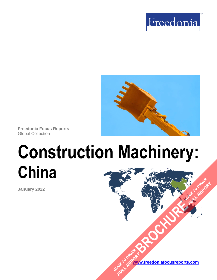



**Freedonia Focus Reports** Global Collection

# **Construction Machinery: China**

**January 2022**

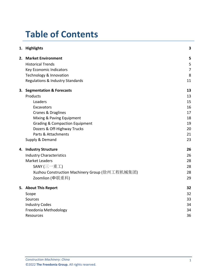# **Table of Contents**

|    | 1. Highlights                                  | 3              |
|----|------------------------------------------------|----------------|
|    | 2. Market Environment                          | 5              |
|    | <b>Historical Trends</b>                       | 5              |
|    | Key Economic Indicators                        | $\overline{7}$ |
|    | Technology & Innovation                        | 8              |
|    | Regulations & Industry Standards               | 11             |
| 3. | <b>Segmentation &amp; Forecasts</b>            | 13             |
|    | Products                                       | 13             |
|    | Loaders                                        | 15             |
|    | Excavators                                     | 16             |
|    | Cranes & Draglines                             | 17             |
|    | Mixing & Paving Equipment                      | 18             |
|    | <b>Grading &amp; Compaction Equipment</b>      | 19             |
|    | Dozers & Off-Highway Trucks                    | 20             |
|    | Parts & Attachments                            | 21             |
|    | Supply & Demand                                | 23             |
| 4. | <b>Industry Structure</b>                      | 26             |
|    | <b>Industry Characteristics</b>                | 26             |
|    | <b>Market Leaders</b>                          | 28             |
|    | SANY (三一重工)                                    | 28             |
|    | Xuzhou Construction Machinery Group (徐州工程机械集团) | 28             |
|    | Zoomlion (中联重科)                                | 29             |
|    | 5. About This Report                           | 32             |
|    | Scope                                          | 32             |
|    | Sources                                        | 33             |
|    | <b>Industry Codes</b>                          | 34             |
|    | Freedonia Methodology                          | 34             |
|    | Resources                                      | 36             |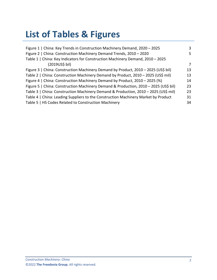# **List of Tables & Figures**

| Figure 1   China: Key Trends in Construction Machinery Demand, 2020 - 2025           | 3  |
|--------------------------------------------------------------------------------------|----|
| Figure 2   China: Construction Machinery Demand Trends, 2010 - 2020                  | 5. |
| Table 1   China: Key Indicators for Construction Machinery Demand, 2010 - 2025       |    |
| (2019US\$ bil)                                                                       | 7  |
| Figure 3   China: Construction Machinery Demand by Product, 2010 - 2025 (US\$ bil)   | 13 |
| Table 2   China: Construction Machinery Demand by Product, 2010 - 2025 (US\$ mil)    | 13 |
| Figure 4   China: Construction Machinery Demand by Product, 2010 – 2025 (%)          | 14 |
| Figure 5   China: Construction Machinery Demand & Production, 2010 - 2025 (US\$ bil) | 23 |
| Table 3   China: Construction Machinery Demand & Production, 2010 - 2025 (US\$ mil)  | 23 |
| Table 4   China: Leading Suppliers to the Construction Machinery Market by Product   | 31 |
| Table 5   HS Codes Related to Construction Machinery                                 | 34 |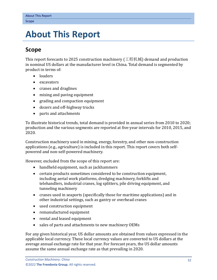## <span id="page-3-0"></span>**5. About This Report**

## <span id="page-3-1"></span>**Scope**

This report forecasts to 2025 construction machinery (工程机械) demand and production in nominal US dollars at the manufacturer level in China. Total demand is segmented by product in terms of:

- loaders
- excavators
- cranes and draglines
- mixing and paving equipment
- grading and compaction equipment
- dozers and off-highway trucks
- parts and attachments

To illustrate historical trends, total demand is provided in annual series from 2010 to 2020; production and the various segments are reported at five-year intervals for 2010, 2015, and 2020.

Construction machinery used in mining, energy, forestry, and other non-construction applications (e.g., agriculture) is included in this report. This report covers both selfpowered and non-self-powered machinery.

However, excluded from the scope of this report are:

- handheld equipment, such as jackhammers
- certain products sometimes considered to be construction equipment, including aerial work platforms, dredging machinery, forklifts and telehandlers, industrial cranes, log splitters, pile driving equipment, and tunneling machinery
- cranes used in seaports (specifically those for maritime applications) and in other industrial settings, such as gantry or overhead cranes
- used construction equipment
- remanufactured equipment
- rental and leased equipment
- sales of parts and attachments to new machinery OEMs

For any given historical year, US dollar amounts are obtained from values expressed in the applicable local currency. These local currency values are converted to US dollars at the average annual exchange rate for that year. For forecast years, the US dollar amounts assume the same annual exchange rate as that prevailing in 2020.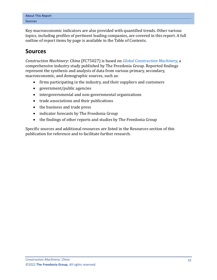|                | <b>About This Report</b> |
|----------------|--------------------------|
| <b>Sources</b> |                          |

Key macroeconomic indicators are also provided with quantified trends. Other various topics, including profiles of pertinent leading companies, are covered in this report. A full outline of report items by page is available in the Table of Contents.

## <span id="page-4-0"></span>**Sources**

*Construction Machinery: China* (FC75027) is based on *[Global Construction Machinery,](http://www.freedoniagroup.com/DocumentDetails.aspx?ReferrerId=FL-FOCUS&studyid=4266)* a comprehensive industry study published by The Freedonia Group. Reported findings represent the synthesis and analysis of data from various primary, secondary, macroeconomic, and demographic sources, such as:

- firms participating in the industry, and their suppliers and customers
- government/public agencies
- intergovernmental and non-governmental organizations
- trade associations and their publications
- the business and trade press
- indicator forecasts by The Freedonia Group
- the findings of other reports and studies by The Freedonia Group

Specific sources and additional resources are listed in the Resources section of this publication for reference and to facilitate further research.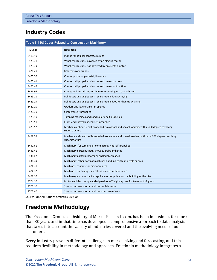## <span id="page-5-0"></span>**Industry Codes**

<span id="page-5-2"></span>

| Table 5   HS Codes Related to Construction Machinery |                                                                                                                    |  |  |  |
|------------------------------------------------------|--------------------------------------------------------------------------------------------------------------------|--|--|--|
| <b>HS Code</b>                                       | <b>Definition</b>                                                                                                  |  |  |  |
| 8413.40                                              | Pumps for liquids: concrete pumps                                                                                  |  |  |  |
| 8425.31                                              | Winches; capstans: powered by an electric motor                                                                    |  |  |  |
| 8425.39                                              | Winches; capstans: not powered by an electric motor                                                                |  |  |  |
| 8426.20                                              | Cranes: tower cranes                                                                                               |  |  |  |
| 8426.30                                              | Cranes: portal or pedestal jib cranes                                                                              |  |  |  |
| 8426.41                                              | Cranes: self-propelled derricks and cranes on tires                                                                |  |  |  |
| 8426.49                                              | Cranes: self-propelled derricks and cranes not on tires                                                            |  |  |  |
| 8426.99                                              | Cranes and derricks other than for mounting on road vehicles                                                       |  |  |  |
| 8429.11                                              | Bulldozers and angledozers: self-propelled, track laying                                                           |  |  |  |
| 8429.19                                              | Bulldozers and angledozers: self-propelled, other than track laying                                                |  |  |  |
| 8429.20                                              | Graders and levelers: self-propelled                                                                               |  |  |  |
| 8429.30                                              | Scrapers: self-propelled                                                                                           |  |  |  |
| 8429.40                                              | Tamping machines and road rollers: self-propelled                                                                  |  |  |  |
| 8429.51                                              | Front-end shovel loaders: self-propelled                                                                           |  |  |  |
| 8429.52                                              | Mechanical shovels, self-propelled excavators and shovel loaders, with a 360 degree revolving<br>superstructure    |  |  |  |
| 8429.59                                              | Mechanical shovels, self-propelled excavators and shovel loaders, without a 360 degree revolving<br>superstructure |  |  |  |
| 8430.61                                              | Machinery: for tamping or compacting, not self-propelled                                                           |  |  |  |
| 8431.41                                              | Machinery parts: buckets, shovels, grabs and grips                                                                 |  |  |  |
| 84314.2                                              | Machinery parts: bulldozer or angledozer blades                                                                    |  |  |  |
| 8431.49                                              | Machinery: other parts of machines handling earth, minerals or ores                                                |  |  |  |
| 8474.31                                              | Machines: concrete or mortar mixers                                                                                |  |  |  |
| 8474.32                                              | Machines: for mixing mineral substances with bitumen                                                               |  |  |  |
| 8479.10                                              | Machinery and mechanical appliances: for public works, building or the like                                        |  |  |  |
| 8704.10                                              | Motor vehicles: dumpers, designed for off-highway use, for transport of goods                                      |  |  |  |
| 8705.10                                              | Special purpose motor vehicles: mobile cranes                                                                      |  |  |  |
| 8705.40                                              | Special purpose motor vehicles: concrete mixers                                                                    |  |  |  |

Source: United Nations Statistics Division

## <span id="page-5-1"></span>**Freedonia Methodology**

The Freedonia Group, a subsidiary of MarketResearch.com, has been in business for more than 30 years and in that time has developed a comprehensive approach to data analysis that takes into account the variety of industries covered and the evolving needs of our customers.

Every industry presents different challenges in market sizing and forecasting, and this requires flexibility in methodology and approach. Freedonia methodology integrates a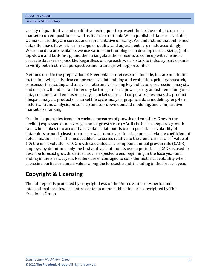| <b>About This Report</b> |
|--------------------------|
| Freedonia Methodology    |

variety of quantitative and qualitative techniques to present the best overall picture of a market's current position as well as its future outlook: When published data are available, we make sure they are correct and representative of reality. We understand that published data often have flaws either in scope or quality, and adjustments are made accordingly. Where no data are available, we use various methodologies to develop market sizing (both top-down and bottom-up) and then triangulate those results to come up with the most accurate data series possible. Regardless of approach, we also talk to industry participants to verify both historical perspective and future growth opportunities.

Methods used in the preparation of Freedonia market research include, but are not limited to, the following activities: comprehensive data mining and evaluation, primary research, consensus forecasting and analysis, ratio analysis using key indicators, regression analysis, end use growth indices and intensity factors, purchase power parity adjustments for global data, consumer and end user surveys, market share and corporate sales analysis, product lifespan analysis, product or market life cycle analysis, graphical data modeling, long-term historical trend analysis, bottom-up and top-down demand modeling, and comparative market size ranking.

Freedonia quantifies trends in various measures of growth and volatility. Growth (or decline) expressed as an average annual growth rate (AAGR) is the least squares growth rate, which takes into account all available datapoints over a period. The volatility of datapoints around a least squares growth trend over time is expressed via the coefficient of determination, or  $r^2$ . The most stable data series relative to the trend carries an  $r^2$  value of 1.0; the most volatile – 0.0. Growth calculated as a compound annual growth rate (CAGR) employs, by definition, only the first and last datapoints over a period. The CAGR is used to describe forecast growth, defined as the expected trend beginning in the base year and ending in the forecast year. Readers are encouraged to consider historical volatility when assessing particular annual values along the forecast trend, including in the forecast year.

## **Copyright & Licensing**

The full report is protected by copyright laws of the United States of America and international treaties. The entire contents of the publication are copyrighted by The Freedonia Group.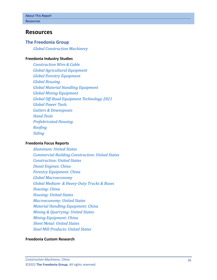## <span id="page-7-0"></span>**Resources**

#### **The Freedonia Group**

*[Global Construction Machinery](http://www.freedoniagroup.com/DocumentDetails.aspx?ReferrerId=FL-FOCUS&studyid=4266)*

#### **[Freedonia Industry Studies](http://www.freedoniagroup.com/Home.aspx?ReferrerId=FL-Focus)**

*[Construction Wire & Cable](http://www.freedoniagroup.com/DocumentDetails.aspx?ReferrerId=FL-FOCUS&studyid=4213) [Global Agricultural Equipment](http://www.freedoniagroup.com/DocumentDetails.aspx?ReferrerId=FL-FOCUS&studyid=3872) [Global Forestry Equipment](http://www.freedoniagroup.com/DocumentDetails.aspx?ReferrerId=FL-FOCUS&studyid=4148) [Global Housing](http://www.freedoniagroup.com/DocumentDetails.aspx?ReferrerId=FL-FOCUS&studyid=4331) [Global Material Handling Equipment](http://www.freedoniagroup.com/DocumentDetails.aspx?ReferrerId=FL-FOCUS&studyid=3709) [Global Mining Equipment](http://www.freedoniagroup.com/DocumentDetails.aspx?ReferrerId=FL-FOCUS&studyid=3839) [Global Off-Road Equipment Technology 2021](http://www.freedoniagroup.com/DocumentDetails.aspx?ReferrerId=FL-FOCUS&studyid=4208) [Global Power Tools](http://www.freedoniagroup.com/DocumentDetails.aspx?ReferrerId=FL-FOCUS&studyid=3969) [Gutters & Downspouts](http://www.freedoniagroup.com/DocumentDetails.aspx?ReferrerId=FL-FOCUS&studyid=4047) [Hand Tools](http://www.freedoniagroup.com/DocumentDetails.aspx?ReferrerId=FL-FOCUS&studyid=3833) [Prefabricated Housing](http://www.freedoniagroup.com/DocumentDetails.aspx?ReferrerId=FL-FOCUS&studyid=3814) [Roofing](http://www.freedoniagroup.com/DocumentDetails.aspx?ReferrerId=FL-FOCUS&studyid=4216) [Siding](http://www.freedoniagroup.com/DocumentDetails.aspx?ReferrerId=FL-FOCUS&studyid=4152)*

#### **[Freedonia Focus Reports](https://www.freedoniafocusreports.com/redirect.asp?progid=89534&url=/)**

*[Aluminum: United States](https://www.freedoniafocusreports.com/Aluminum-United-States-FF65010/?progid=89534) [Commercial Building Construction: United States](https://www.freedoniafocusreports.com/Commercial-Building-Construction-United-States-FF60032/?progid=89534) [Construction: United States](https://www.freedoniafocusreports.com/Construction-United-States-FF60054/?progid=89534) [Diesel Engines: China](https://www.freedoniafocusreports.com/Diesel-Engines-China-FC45026/?progid=89534) [Forestry Equipment: China](https://www.freedoniafocusreports.com/Forestry-Equipment-China-FC75044/?progid=89534) [Global Macroeconomy](https://www.freedoniafocusreports.com/Global-Macroeconomy-FW95051/?progid=89534) Global Medium- [& Heavy-Duty Trucks & Buses](https://www.freedoniafocusreports.com/Global-Medium-Heavy-Duty-Trucks-Buses-FW85014/?progid=89534) [Housing: China](https://www.freedoniafocusreports.com/Housing-China-FC60024/?progid=89534) [Housing: United States](https://www.freedoniafocusreports.com/Housing-United-States-FF60024/?progid=89534) [Macroeconomy: United States](https://www.freedoniafocusreports.com/Macroeconomy-United-States-FF95051/?progid=89534) [Material Handling Equipment: China](https://www.freedoniafocusreports.com/Material-Handling-Equipment-China-FC75039/?progid=89534) [Mining & Quarrying: United States](https://www.freedoniafocusreports.com/Mining-Quarrying-United-States-FF65051/?progid=89534) [Mining Equipment: China](https://www.freedoniafocusreports.com/Mining-Equipment-China-FC75021/?progid=89534) [Sheet Metal: United States](https://www.freedoniafocusreports.com/Sheet-Metal-United-States-FF70016/?progid=89534) [Steel Mill Products: United States](https://www.freedoniafocusreports.com/Steel-Mill-Products-United-States-FF65013/?progid=89534)*

#### **[Freedonia Custom Research](http://www.freedoniagroup.com/CustomResearch.aspx?ReferrerId=FL-Focus)**